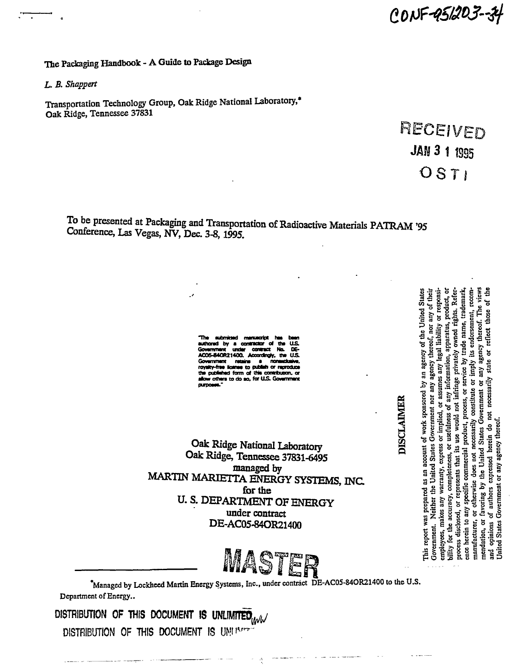CONF 45205-54

The Packaging Handbook - A Guide to Package Design

*L. B. Shappert* 

Transportation Technology Group, Oak Ridge National Laboratory,\* Oak Ridge, Tennessee 37831

> RECEIVED **JAN 3 1 1995** OSTI

To be presented at Packaging and Transportation of Radioactive Materials PATRAM '95 Conference, Las Vegas, NV, Dec. 3-8,1995.

> **The submitted manuscript wthorad by a** *uurmmMM* **of th» US. OOHHIM W infer cemract No. DE-AC06-84OB2140a AcocraTnqfr. th» OS.**  Government retains a nonauclusive, **royrity-frM ion \* to pufaWi or raproduoB the pubfiihtd fonri of sNt conrtxioon\* or**  others to do so, for U.S. Governm

Oak Ridge National Laboratory Oak Ridge, Tennessee 37831-6495 managed by MARTIN MARIETTA ENERGY SYSTEMS, INC for the U. S. DEPARTMENT OF ENERGY under contract DE-AC05-84OR21400



**"Managed by Lockheed Martin Energy Systems, Inc., under contract DE-AC05-84OR21400 to the U.S. Department of Energy..** 

DISTRIBUTION OF THIS DOCUMENT IS UNLIMITED **WW** DISTRIBUTION OF THIS DOCUMENT IS *W ^* 

c Chinea State<br>
oor any of the<br>
ity or response<br>
its, product,<br>
it is, the deman<br>
streed. The view<br>
creof. The view<br>
t those of the street of the street of the street of the street of the street of the street of the street agency of<br>ney therease of the<br>ny legal lift<br>ivately on the state of the<br>ply its erease y<br>ply its exercy<br>*H* agency **l**  $\frac{1}{2}$   $\frac{1}{2}$   $\frac{1}{2}$   $\frac{1}{2}$   $\frac{1}{2}$   $\frac{1}{2}$   $\frac{1}{2}$   $\frac{1}{2}$   $\frac{1}{2}$   $\frac{1}{2}$   $\frac{1}{2}$   $\frac{1}{2}$   $\frac{1}{2}$   $\frac{1}{2}$   $\frac{1}{2}$   $\frac{1}{2}$   $\frac{1}{2}$   $\frac{1}{2}$   $\frac{1}{2}$   $\frac{1}{2}$   $\frac{1}{2}$   $\frac{1}{2}$  gency<br>
any le<sub>i</sub><br>
mation<br>
private<br>
private<br>
imply i<br>
imply is<br>
any age ខ្ច $^{\circ}$ **\* « k** sponsore<br>nment nor<br>ment or as<br>ies of any<br>ment in the sponsores, c<br>process, c<br>prossitus spons Free herein to any specific commercial product, process, or service by trade name, trademark, need there is explicible commercial product, process or service by trademark, recommantifacturer, or otherwise does not necessar nt of work<br>tes Governmis<br>ess or impline<br>or usefulne<br>is use would,<br>is processarily<br>necessarily<br>decein do r<br>decein do r<br>herein do r **i** accounted Stated Stated States, express, shat it is that it is a non-<br> **i** s that it is a non-<br> **1 i 1 i 1 i 1 i 1 i 1 i 1 i 1 i 1 i 1 i 1 i 1 i 1 i 1 i 1 i 1** red as an accounted as<br>
• the United S<br> *y*, completenes<br> *y*, completenes<br>
represents than<br>
ectific comment<br>
or wise does not<br>
a by the Uni<br>
as by the Uni<br>
nots expressed<br>
ment or any a **•g -g M ~ a >»**  Jnited States Government or any agency thereof per<br>Veita<br>Ses ar **\* a**  $\alpha$ <br> **c** *s*  $\alpha$ <br> **c**  $\alpha$  **s**  $\beta$ <br> **c**  $\alpha$  **s**  $\beta$ <br> **c**  $\alpha$  **f**  $\alpha$ <br> **c**  $\alpha$ **5 s** ទី ទី ខ្លួន ទី ទី ទី ១ ១ <mark>១</mark> port wa<br>ment. 1<br>ses, ma'<br>ses, ma'<br>sisclos<br>disclos<br>rein to This re<br>
Govern<br>
Govern<br>
bility f<br>
bility f<br>
processes<br>
manufical<br>
menda<br>
and op<br>
and op<br>
UDited

DISCLAIMER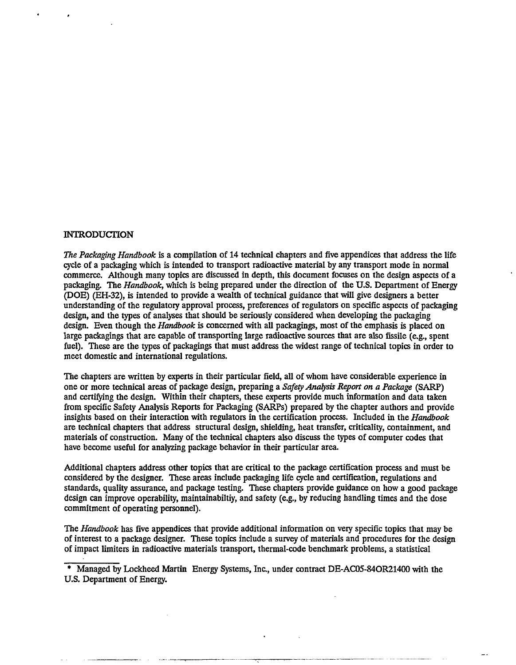#### INTRODUCTION

*The Packaging Handbook* is a compilation of 14 technical chapters and five appendices that address the life cycle of a packaging which is intended to transport radioactive material by any transport mode in normal commerce. Although many topics are discussed in depth, this document focuses on the design aspects of a packaging. The *Handbook,* which is being prepared under the direction of the U.S. Department of Energy (DOE) (EH-32), is intended to provide a wealth of technical guidance that will give designers a better understanding of the regulatory approval process, preferences of regulators on specific aspects of packaging design, and the types of analyses that should be seriously considered when developing the packaging design. Even though the *Handbook* is concerned with all packagings, most of the emphasis is placed on large packagings that are capable of transporting large radioactive sources that are also fissile (e.g., spent fuel). These are the types of packagings that must address the widest range of technical topics in order to meet domestic and international regulations.

The chapters are written by experts in their particular field, all of whom have considerable experience in one or more technical areas of package design, preparing a *Safety Analysis Report on a Package* (SARP) and certifying the design. Within their chapters, these experts provide much information and data taken from specific Safety Analysis Reports for Packaging (SARPs) prepared by the chapter authors and provide insights based on their interaction with regulators in the certification process. Included in the *Handbook*  are technical chapters that address structural design, shielding, heat transfer, criticality, containment, and materials of construction. Many of the technical chapters also discuss the types of computer codes that have become useful for analyzing package behavior in their particular area.

Additional chapters address other topics that are critical to the package certification process and must be considered by the designer. These areas include packaging life cycle and certification, regulations and standards, quality assurance, and package testing. These chapters provide guidance on how a good package design can improve operability, maintainabiltiy, and safety (e.g., by reducing handling times and the dose commitment of operating personnel).

The *Handbook* has five appendices that provide additional information on very specific topics that may be of interest to a package designer. These topics include a survey of materials and procedures for the design of impact limiters in radioactive materials transport, thermal-code benchmark problems, a statistical

\* Managed by Lockheed Martin Energy Systems, Inc., under contract DE-AC05-84OR21400 with the U.S. Department of Energy.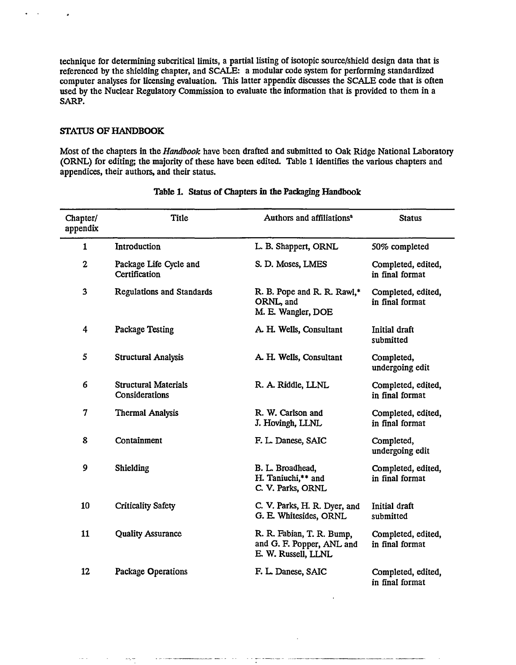technique for determining subcritical limits, a partial listing of isotopic source/shield design data that is referenced by the shielding chapter, and SCALE: a modular code system for performing standardized computer analyses for licensing evaluation. This latter appendix discusses the SCALE code that is often used by the Nuclear Regulatory Commission to evaluate the information that is provided to them in a SARP.

### **STATUS OF HANDBOOK**

Most of the chapters in the *Handbook* have been drafted and submitted to Oak Ridge National Laboratory (ORNL) for editing; the majority of these have been edited. Table 1 identifies the various chapters and appendices, their authors, and their status.

| Chapter/<br>appendix | <b>Title</b>                                  | Authors and affiliations <sup>a</sup>                                         | <b>Status</b>                         |
|----------------------|-----------------------------------------------|-------------------------------------------------------------------------------|---------------------------------------|
| $\mathbf{1}$         | Introduction                                  | L. B. Shappert, ORNL                                                          | 50% completed                         |
| $\mathbf{2}$         | Package Life Cycle and<br>Certification       | S. D. Moses, LMES                                                             | Completed, edited,<br>in final format |
| 3                    | <b>Regulations and Standards</b>              | R. B. Pope and R. R. Rawl,*<br>ORNL, and<br>M. E. Wangler, DOE                | Completed, edited,<br>in final format |
| 4                    | Package Testing                               | A. H. Wells, Consultant                                                       | Initial draft<br>submitted            |
| 5                    | <b>Structural Analysis</b>                    | A. H. Wells, Consultant                                                       | Completed,<br>undergoing edit         |
| 6                    | <b>Structural Materials</b><br>Considerations | R. A. Riddle, LLNL                                                            | Completed, edited,<br>in final format |
| 7                    | <b>Thermal Analysis</b>                       | R. W. Carlson and<br>J. Hovingh, LLNL                                         | Completed, edited,<br>in final format |
| 8                    | Containment                                   | F. L. Danese, SAIC                                                            | Completed,<br>undergoing edit         |
| 9                    | Shielding                                     | B. L. Broadhead,<br>H. Taniuchi,** and<br>C. V. Parks, ORNL                   | Completed, edited,<br>in final format |
| 10                   | <b>Criticality Safety</b>                     | C. V. Parks, H. R. Dyer, and<br>G. E. Whitesides, ORNL                        | Initial draft<br>submitted            |
| 11                   | <b>Quality Assurance</b>                      | R. R. Fabian, T. R. Bump,<br>and G. F. Popper, ANL and<br>E. W. Russell, LLNL | Completed, edited,<br>in final format |
| 12                   | Package Operations                            | F. L. Danese, SAIC                                                            | Completed, edited,<br>in final format |

 $\lambda$  is a construction of  $\lambda$ 

### Table 1. Status of Chapters in the Packaging Handbook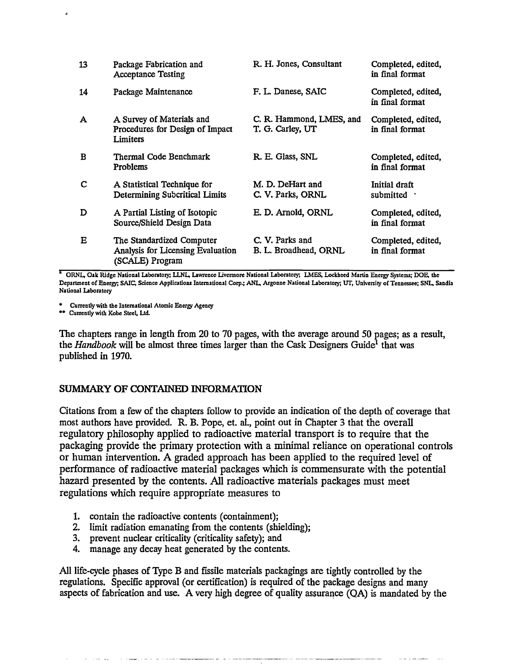| 13           | Package Fabrication and<br><b>Acceptance Testing</b>                              | R. H. Jones, Consultant                      | Completed, edited,<br>in final format |
|--------------|-----------------------------------------------------------------------------------|----------------------------------------------|---------------------------------------|
| 14           | Package Maintenance                                                               | F. L. Danese, SAIC                           | Completed, edited,<br>in final format |
| $\mathbf{A}$ | A Survey of Materials and<br>Procedures for Design of Impact<br>Limiters          | C. R. Hammond, LMES, and<br>T. G. Carley, UT | Completed, edited,<br>in final format |
| B            | Thermal Code Benchmark<br><b>Problems</b>                                         | R. E. Glass, SNL                             | Completed, edited,<br>in final format |
| C            | A Statistical Technique for<br><b>Determining Subcritical Limits</b>              | M. D. DeHart and<br>C. V. Parks, ORNL        | Initial draft<br>submitted ·          |
| D            | A Partial Listing of Isotopic<br>Source/Shield Design Data                        | E. D. Arnold, ORNL                           | Completed, edited,<br>in final format |
| Е            | The Standardized Computer<br>Analysis for Licensing Evaluation<br>(SCALE) Program | C. V. Parks and<br>B. L. Broadhead, ORNL     | Completed, edited,<br>in final format |

<sup>a</sup> ORNL, Oak Ridge National Laboratory; LLNL, Lawrence Livermore National Laboratory; LMES, Lockheed Martin Energy Systems; DOE, the **Department of Energy; SAIC, Science Applications International Corp.; ANL, Argonne National Laboratory; UT, University of Tennessee; SNL, Sandia National Laboratory** 

**\* Currently with the International Atomic Energy Agency** 

**•• Currently with Kobe SteeL Ltd.** 

The chapters range in length from 20 to 70 pages, with the average around 50 pages; as a result, the *Handbook* will be almost three times larger than the Cask Designers Guide<sup>1</sup> that was published in 1970.

# SUMMARY OF CONTAINED INFORMATION

Citations from a few of the chapters follow to provide an indication of the depth of coverage that most authors have provided. R. B. Pope, et. al., point out in Chapter 3 that the overall regulatory philosophy applied to radioactive material transport is to require that the packaging provide the primary protection with a minimal reliance on operational controls or human intervention. A graded approach has been applied to the required level of performance of radioactive material packages which is commensurate with the potential hazard presented by the contents. All radioactive materials packages must meet regulations which require appropriate measures to

- 1. contain the radioactive contents (containment);
- 2. limit radiation emanating from the contents (shielding);
- 3. prevent nuclear criticality (criticality safety); and
- 4. manage any decay heat generated by the contents.

All life-cycle phases of Type B and fissile materials packagings are tightly controlled by the regulations. Specific approval (or certification) is required of the package designs and many aspects of fabrication and use. A very high degree of quality assurance (QA) is mandated by the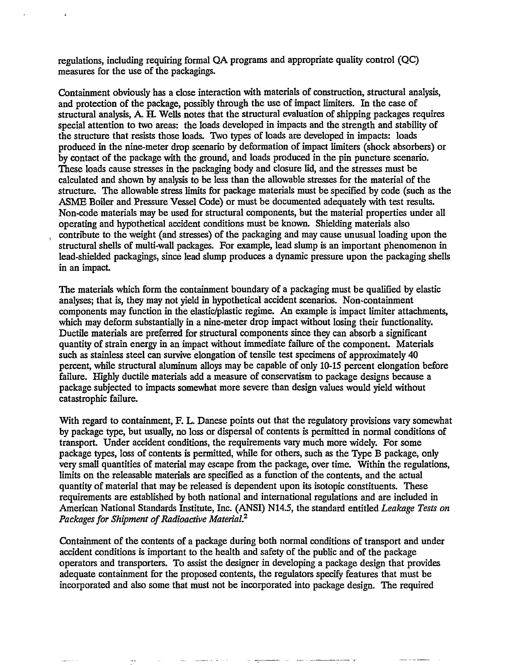regulations, including requiring formal QA programs and appropriate quality control (QC) measures for the use of the packagings.

Containment obviously has a close interaction with materials of construction, structural analysis, and protection of the package, possibly through the use of impact limiters. In the case of structural analysis, A. H. Wells notes that the structural evaluation of shipping packages requires special attention to two areas: the loads developed in impacts and the strength and stability of the structure that resists those loads. Two types of loads are developed in impacts: loads produced in the nine-meter drop scenario by deformation of impact limiters (shock absorbers) or by contact of the package with the ground, and loads produced in the pin puncture scenario. These loads cause stresses in the packaging body and closure lid, and the stresses must be calculated and shown by analysis to be less than the allowable stresses for the material of the structure. The allowable stress limits for package materials must be specified by code (such as the ASME Boiler and Pressure Vessel Code) or must be documented adequately with test results. Non-code materials may be used for structural components, but the material properties under all operating and hypothetical accident conditions must be known. Shielding materials also contribute to the weight (and stresses) of the packaging and may cause unusual loading upon the structural shells of multi-wall packages. For example, lead slump is an important phenomenon in lead-shielded packagings, since lead slump produces a dynamic pressure upon the packaging shells in an impact

The materials which form the containment boundary of a packaging must be qualified by elastic analyses; that is, they may not yield in hypothetical accident scenarios. Non-containment components may function in the elastic/plastic regime. An example is impact limiter attachments, which may deform substantially in a nine-meter drop impact without losing their functionality. Ductile materials are preferred for structural components since they can absorb a significant quantity of strain energy in an impact without immediate failure of the component. Materials such as stainless steel can survive elongation of tensile test specimens of approximately 40 percent, while structural aluminum alloys may be capable of only 10-15 percent elongation before failure. Highly ductile materials add a measure of conservatism to package designs because a package subjected to impacts somewhat more severe than design values would yield without catastrophic failure.

With regard to containment, F. L. Danese points out that the regulatory provisions vary somewhat by package type, but usually, no loss or dispersal of contents is permitted in normal conditions of transport. Under accident conditions, the requirements vary much more widely. For some package types, loss of contents is permitted, while for others, such as the Type B package, only very small quantities of material may escape from the package, over time. Within the regulations, limits on the releasable materials are specified as a function of the contents, and the actual quantity of material that may be released is dependent upon its isotopic constituents. These requirements are established by both national and international regulations and are included in American National Standards Institute, Inc. (ANSI) N14.5, the standard entitled *Leakage Tests on Packages for Shipment of Radioactive Material.<sup>2</sup>*

Containment of the contents of a package during both normal conditions of transport and under accident conditions is important to the health and safety of the public and of the package operators and transporters. To assist the designer in developing a package design that provides adequate containment for the proposed contents, the regulators specify features that must be incorporated and also some that must not be incorporated into package design. The required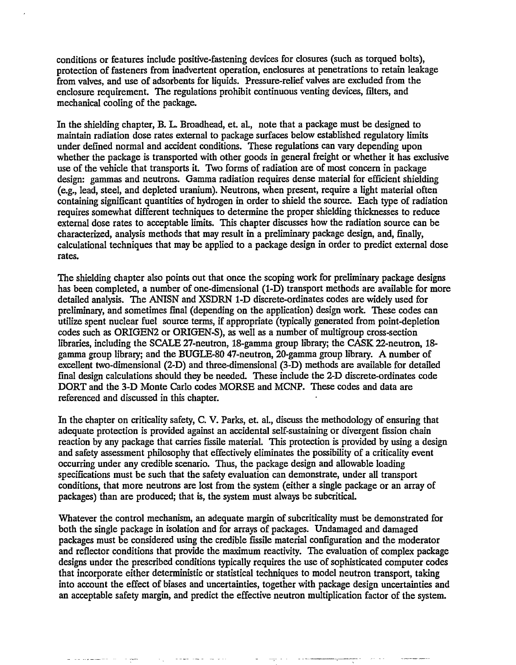conditions or features include positive-fastening devices for closures (such as torqued bolts), protection of fasteners from inadvertent operation, enclosures at penetrations to retain leakage from valves, and use of adsorbents for liquids. Pressure-relief valves are excluded from the enclosure requirement. The regulations prohibit continuous venting devices, filters, and mechanical cooling of the package.

In the shielding chapter, B. L. Broadhead, et. aL, note that a package must be designed to maintain radiation dose rates external to package surfaces below established regulatory limits under defined normal and accident conditions. These regulations can vary depending upon whether the package is transported with other goods in general freight or whether it has exclusive use of the vehicle that transports it. Two forms of radiation are of most concern in package design: gammas and neutrons. Gamma radiation requires dense material for efficient shielding (e.g., lead, steel, and depleted uranium). Neutrons, when present, require a light material often containing significant quantities of hydrogen in order to shield the source. Each type of radiation requires somewhat different techniques to determine the proper shielding thicknesses to reduce external dose rates to acceptable limits. This chapter discusses how the radiation source can be characterized, analysis methods that may result in a preliminary package design, and, finally, calculational techniques that may be applied to a package design in order to predict external dose rates.

The shielding chapter also points out that once the scoping work for preliminary package designs has been completed, a number of one-dimensional (1-D) transport methods are available for more detailed analysis. The ANISN and XSDRN 1-D discrete-ordinates codes are widely used for preliminary, and sometimes final (depending on the application) design work. These codes can utilize spent nuclear fuel source terms, if appropriate (typically generated from point-depletion codes such as ORIGEN2 or ORIGEN-S), as well as a number of multigroup cross-section libraries, including the SCALE 27-neutron, 18-gamma group library; the CASK 22-neutron, 18 gamma group library; and the BUGLE-80 47-neutron, 20-gamma group library. A number of excellent two-dimensional (2-D) and three-dimensional (3-D) methods are available for detailed final design calculations should they be needed. These include the 2-D discrete-ordinates code DORT and the 3-D Monte Carlo codes MORSE and MCNP. These codes and data are referenced and discussed in this chapter.

In the chapter on criticality safety, C. V. Parks, et. al., discuss the methodology of ensuring that adequate protection is provided against an accidental self-sustaining or divergent fission chain reaction by any package that carries fissile material. This protection is provided by using a design and safety assessment philosophy that effectively eliminates the possibility of a criticality event occurring under any credible scenario. Thus, the package design and allowable loading specifications must be such that the safety evaluation can demonstrate, under all transport conditions, that more neutrons are lost from the system (either a single package or an array of packages) than are produced; that is, the system must always be subcritical.

Whatever the control mechanism, an adequate margin of subcriticality must be demonstrated for both the single package in isolation and for arrays of packages. Undamaged and damaged packages must be considered using the credible fissile material configuration and the moderator and reflector conditions that provide the maximum reactivity. The evaluation of complex package designs under the prescribed conditions typically requires the use of sophisticated computer codes that incorporate either deterministic or statistical techniques to model neutron transport, taking into account the effect of biases and uncertainties, together with package design uncertainties and an acceptable safety margin, and predict the effective neutron multiplication factor of the system.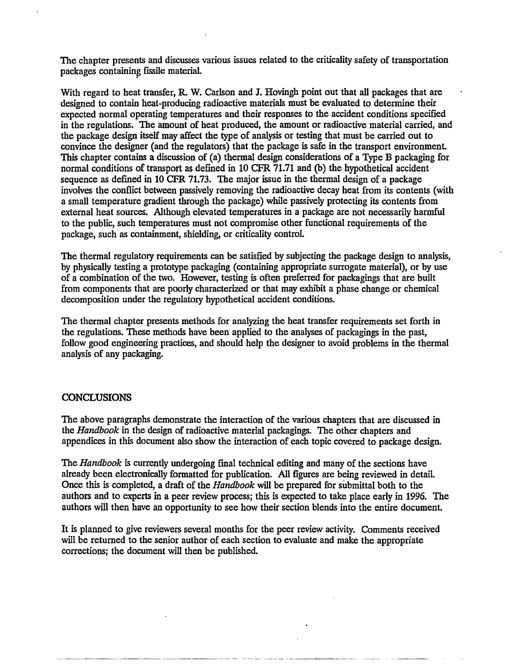The chapter presents and discusses various issues related to the criticality safety of transportation packages containing fissile material.

With regard to heat transfer, R. W. Carlson and J. Hovingh point out that all packages that are designed to contain heat-producing radioactive materials must be evaluated to determine their expected normal operating temperatures and their responses to the accident conditions specified in the regulations. The amount of heat produced, the amount or radioactive material carried, and the package design itself may affect the type of analysis or testing that must be carried out to convince the designer (and the regulators) that the package is safe in the transport environment. This chapter contains a discussion of (a) thermal design considerations of a Type B packaging for normal conditions of transport as defined in 10 CFR 71.71 and (b) the hypothetical accident sequence as defined in 10 CFR 71.73. The major issue in the thermal design of a package involves the conflict between passively removing the radioactive decay heat from its contents (with a small temperature gradient through the package) while passively protecting its contents from external heat sources. Although elevated temperatures in a package are not necessarily harmful to the public, such temperatures must not compromise other functional requirements of the package, such as containment, shielding, or criticality control.

The thermal regulatory requirements can be satisfied by subjecting the package design to analysis, by physically testing a prototype packaging (containing appropriate surrogate material), or by use of a combination of the two. However, testing is often preferred for packagings that are built from components that are poorly characterized or that may exhibit a phase change or chemical decomposition under the regulatory hypothetical accident conditions.

The thermal chapter presents methods for analyzing the heat transfer requirements set forth in the regulations. These methods have been applied to the analyses of packagings in the past, follow good engineering practices, and should help the designer to avoid problems in the thermal analysis of any packaging.

# **CONCLUSIONS**

The above paragraphs demonstrate the interaction of the various chapters that are discussed in the *Handbook* in the design of radioactive material packagings. The other chapters and appendices in this document also show the interaction of each topic covered to package design.

The *Handbook* is currently undergoing final technical editing and many of the sections have already been electronically formatted for publication. All figures are being reviewed in detail. Once this is completed, a draft of the *Handbook* will be prepared for submittal both to the authors and to experts in a peer review process; this is expected to take place early in 1996. The authors will then have an opportunity to see how their section blends into the entire document.

It is planned to give reviewers several months for the peer review activity. Comments received will be returned to the senior author of each section to evaluate and make the appropriate corrections; the document will then be published.